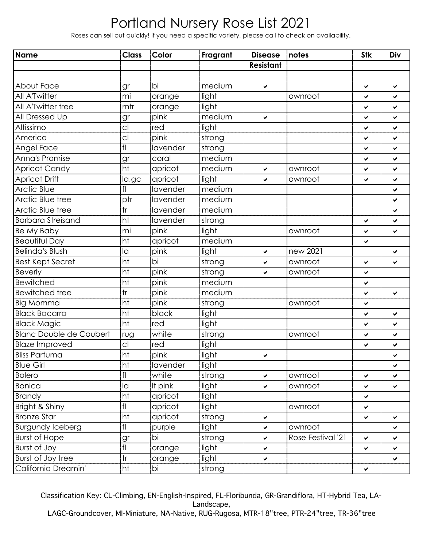Roses can sell out quickly! If you need a specific variety, please call to check on availability.

| Name                           | <b>Class</b>            | Color           | Fragrant | <b>Disease</b>   | notes             | <b>Stk</b>   | Div          |
|--------------------------------|-------------------------|-----------------|----------|------------------|-------------------|--------------|--------------|
|                                |                         |                 |          | <b>Resistant</b> |                   |              |              |
|                                |                         |                 |          |                  |                   |              |              |
| About Face                     | gr                      | bi              | medium   | $\checkmark$     |                   | ✔            | Ý.           |
| All A'Twitter                  | mi                      | orange          | light    |                  | ownroot           | ✔            | V            |
| All A'Twitter tree             | mtr                     | orange          | light    |                  |                   | ✔            | ✓            |
| All Dressed Up                 | gr                      | pink            | medium   | $\checkmark$     |                   | ✔            | ✓            |
| Altissimo                      | C <sub>1</sub>          | red             | light    |                  |                   | ✔            | Ý.           |
| America                        | C <sub>1</sub>          | pink            | strong   |                  |                   | ✔            | $\checkmark$ |
| Angel Face                     | fl                      | lavender        | strong   |                  |                   | ✔            | Ý.           |
| Anna's Promise                 | gr                      | coral           | medium   |                  |                   | ✔            | ✓            |
| <b>Apricot Candy</b>           | $\overline{ht}$         | apricot         | medium   | $\checkmark$     | ownroot           | ✔            | ✓            |
| Apricot Drift                  | la,gc                   | apricot         | light    | ✓                | ownroot           | ✔            | $\checkmark$ |
| <b>Arctic Blue</b>             | fl                      | lavender        | medium   |                  |                   |              | ✓            |
| Arctic Blue tree               | ptr                     | lavender        | medium   |                  |                   |              | ✓            |
| Arctic Blue tree               | tr                      | lavender        | medium   |                  |                   |              | ✓            |
| <b>Barbara Streisand</b>       | ht                      | lavender        | strong   |                  |                   | ✔            | Ý.           |
| Be My Baby                     | mi                      | pink            | light    |                  | ownroot           | ✔            | ✔            |
| <b>Beautiful Day</b>           | ht                      | apricot         | medium   |                  |                   | ✔            |              |
| <b>Belinda's Blush</b>         | la                      | pink            | light    | $\checkmark$     | new 2021          |              | ✔            |
| <b>Best Kept Secret</b>        | ht                      | $\overline{bi}$ | strong   | $\checkmark$     | ownroot           | ✔            | ✓            |
| <b>Beverly</b>                 | ht                      | pink            | strong   | $\checkmark$     | ownroot           | ✔            |              |
| <b>Bewitched</b>               | ht                      | pink            | medium   |                  |                   | ✔            |              |
| <b>Bewitched tree</b>          | tr                      | pink            | medium   |                  |                   | ✔            | Ý.           |
| <b>Big Momma</b>               | ht                      | pink            | strong   |                  | ownroot           | ✔            |              |
| <b>Black Bacarra</b>           | ht                      | black           | light    |                  |                   | ✔            | ✔            |
| <b>Black Magic</b>             | ht                      | red             | light    |                  |                   | ✔            | ✓            |
| <b>Blanc Double de Coubert</b> | rug                     | white           | strong   |                  | ownroot           | ✔            | ✓            |
| <b>Blaze Improved</b>          | C <sub>1</sub>          | red             | light    |                  |                   | ✔            | ✓            |
| <b>Bliss Parfuma</b>           | ht                      | pink            | light    | ✔                |                   |              | ✔            |
| <b>Blue Girl</b>               | $\overline{ht}$         | lavender        | light    |                  |                   |              | $\checkmark$ |
| <b>Bolero</b>                  | f                       | white           | strong   | $\checkmark$     | ownroot           | $\checkmark$ | ✓            |
| <b>Bonica</b>                  | la                      | It pink         | light    | $\checkmark$     | ownroot           | ✔            | Ý.           |
| <b>Brandy</b>                  | ht                      | apricot         | light    |                  |                   | ✔            |              |
| Bright & Shiny                 | fl                      | apricot         | light    |                  | ownroot           | ✔            |              |
| <b>Bronze Star</b>             | ht                      | apricot         | strong   | $\checkmark$     |                   | ✔            | ✔            |
| <b>Burgundy Iceberg</b>        | fl                      | purple          | light    | $\checkmark$     | ownroot           |              | ✓            |
| <b>Burst of Hope</b>           | gr                      | bi              | strong   | $\checkmark$     | Rose Festival '21 | ✔            | ✔            |
| Burst of Joy                   | fl                      | orange          | light    | $\checkmark$     |                   | ✓            | ✓            |
| Burst of Joy tree              | $\operatorname{\sf tr}$ | orange          | light    | $\checkmark$     |                   |              | ✔            |
| California Dreamin'            | ht                      | bi              | strong   |                  |                   | ✔            |              |

Classification Key: CL-Climbing, EN-English-Inspired, FL-Floribunda, GR-Grandiflora, HT-Hybrid Tea, LA-Landscape,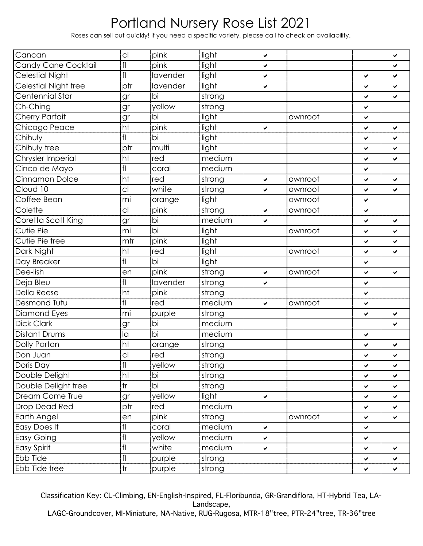Roses can sell out quickly! If you need a specific variety, please call to check on availability.

| Cancan                     | C <sub>1</sub>           | pink     | light  | ✔            |         |   | ✔  |
|----------------------------|--------------------------|----------|--------|--------------|---------|---|----|
| <b>Candy Cane Cocktail</b> | $\operatorname{\sf fil}$ | pink     | light  | ✔            |         |   | ✔  |
| <b>Celestial Night</b>     | f                        | lavender | light  | ✔            |         | ✓ | ✓  |
| Celestial Night tree       | ptr                      | lavender | light  | ✔            |         | ✔ | ✓  |
| Centennial Star            | gr                       | bi       | strong |              |         | ✔ | V  |
| Ch-Ching                   | gr                       | yellow   | strong |              |         | ✔ |    |
| <b>Cherry Parfait</b>      | gr                       | bi       | light  |              | ownroot | ✓ |    |
| Chicago Peace              | ht                       | pink     | light  | ✔            |         | ✔ | ✔  |
| Chihuly                    | fl                       | bi       | light  |              |         | ✓ | ✔  |
| Chihuly tree               | ptr                      | multi    | light  |              |         | ✔ | ✔  |
| Chrysler Imperial          | ht                       | red      | medium |              |         | ✔ | ✓  |
| Cinco de Mayo              | fl                       | coral    | medium |              |         | ✔ |    |
| Cinnamon Dolce             | ht                       | red      | strong | ✔            | ownroot | ✓ | V  |
| Cloud 10                   | cl                       | white    | strong | $\checkmark$ | ownroot | ✔ | ✔  |
| Coffee Bean                | mi                       | orange   | light  |              | ownroot | ✔ |    |
| Colette                    | cl                       | pink     | strong | $\checkmark$ | ownroot | ✔ |    |
| Coretta Scott King         | gr                       | bi       | medium | $\checkmark$ |         | ✓ | V  |
| Cutie Pie                  | mi                       | bi       | light  |              | ownroot | ✔ | ✔  |
| Cutie Pie tree             | mtr                      | pink     | light  |              |         | ✔ | ✓  |
| Dark Night                 | ht                       | red      | light  |              | ownroot | ✔ | ✓  |
| Day Breaker                | fl                       | bi       | light  |              |         | ✓ |    |
| Dee-lish                   | en                       | pink     | strong | ✔            | ownroot | ✔ | ✔  |
| Deja Bleu                  | fl                       | lavender | strong | $\checkmark$ |         | ✔ |    |
| <b>Della Reese</b>         | ht                       | pink     | strong |              |         | ✔ |    |
| Desmond Tutu               | fl                       | red      | medium | $\checkmark$ | ownroot | ✓ |    |
| Diamond Eyes               | mi                       | purple   | strong |              |         | ✔ | ✔  |
| <b>Dick Clark</b>          | gr                       | bi       | medium |              |         |   | ✔  |
| <b>Distant Drums</b>       | la                       | bi       | medium |              |         | ✔ |    |
| Dolly Parton               | ht                       | orange   | strong |              |         | ✓ | ✔  |
| Don Juan                   | C <sub>1</sub>           | red      | strong |              |         | ✔ | ✔  |
| Doris Day                  | fl                       | yellow   | strong |              |         | ✔ | ✓  |
| Double Delight             | ht                       | bi       | strong |              |         | ✔ | ✓  |
| Double Delight tree        | $\operatorname{\sf tr}$  | bi       | strong |              |         | ✓ | ✓  |
| Dream Come True            | gr                       | yellow   | light  | $\checkmark$ |         | ✔ | ✓  |
| <b>Drop Dead Red</b>       | ptr                      | red      | medium |              |         | ✓ | ✓  |
| Earth Angel                | en                       | pink     | strong |              | ownroot | ✔ | ✓  |
| Easy Does It               | $\mathsf{fl}$            | coral    | medium | ✔            |         | ✓ |    |
| <b>Easy Going</b>          | $\operatorname{\sf fil}$ | yellow   | medium | ✔            |         | ✔ |    |
| <b>Easy Spirit</b>         | $\mathsf{fl}$            | white    | medium | ✔            |         | ✓ | ✓  |
| <b>Ebb Tide</b>            | f                        | purple   | strong |              |         | ✔ | ✓  |
| Ebb Tide tree              | tr                       | purple   | strong |              |         | ✔ | Ý. |

Classification Key: CL-Climbing, EN-English-Inspired, FL-Floribunda, GR-Grandiflora, HT-Hybrid Tea, LA-Landscape,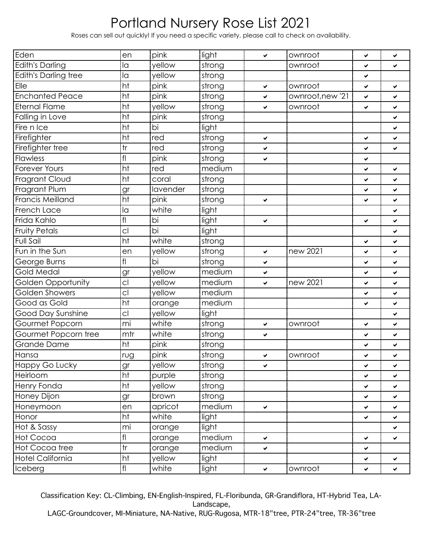Roses can sell out quickly! If you need a specific variety, please call to check on availability.

| Eden                      | en                      | pink     | light  | $\checkmark$ | ownroot          | ✔ | ✔ |
|---------------------------|-------------------------|----------|--------|--------------|------------------|---|---|
| <b>Edith's Darling</b>    | la                      | yellow   | strong |              | ownroot          | ✔ | ✔ |
| Edith's Darling tree      | la                      | yellow   | strong |              |                  | ✔ |   |
| Elle                      | ht                      | pink     | strong | $\checkmark$ | ownroot          | ✔ | ✓ |
| <b>Enchanted Peace</b>    | ht                      | pink     | strong | $\checkmark$ | ownroot, new '21 | ✔ | ✔ |
| <b>Eternal Flame</b>      | ht                      | yellow   | strong | ✔            | ownroot          | ✔ | ✔ |
| Falling in Love           | ht                      | pink     | strong |              |                  |   | ✔ |
| Fire n Ice                | ht                      | bi       | light  |              |                  |   | ✔ |
| Firefighter               | ht                      | red      | strong | ✔            |                  | ✓ | ✓ |
| Firefighter tree          | tr                      | red      | strong | ✔            |                  | ✔ | ✔ |
| Flawless                  | f                       | pink     | strong | $\checkmark$ |                  | ✓ |   |
| <b>Forever Yours</b>      | ht                      | red      | medium |              |                  | ✔ | ✔ |
| Fragrant Cloud            | ht                      | coral    | strong |              |                  | ✓ | ✔ |
| Fragrant Plum             | gr                      | lavender | strong |              |                  | ✔ | ✔ |
| Francis Meilland          | ht                      | pink     | strong | ✔            |                  | ✔ | ✓ |
| French Lace               | la                      | white    | light  |              |                  |   | ✔ |
| Frida Kahlo               | f                       | bi       | light  | ✔            |                  | ✔ | ✓ |
| <b>Fruity Petals</b>      | cl                      | bi       | light  |              |                  |   | ✔ |
| <b>Full Sail</b>          | ht                      | white    | strong |              |                  | ✔ | ✓ |
| Fun in the Sun            | en                      | yellow   | strong | ✔            | new 2021         | ✔ | ✔ |
| George Burns              | fl                      | bi       | strong | ✔            |                  | ✓ | ✓ |
| Gold Medal                | gr                      | yellow   | medium | ✔            |                  | ✔ | ✔ |
| <b>Golden Opportunity</b> | C <sub>1</sub>          | yellow   | medium | $\checkmark$ | new 2021         | ✔ | ✔ |
| Golden Showers            | C <sub>1</sub>          | yellow   | medium |              |                  | ✔ | ✔ |
| Good as Gold              | ht                      | orange   | medium |              |                  | ✔ | ✓ |
| Good Day Sunshine         | cl                      | yellow   | light  |              |                  |   | ✔ |
| Gourmet Popcorn           | mi                      | white    | strong | $\checkmark$ | ownroot          | ✔ | ✔ |
| Gourmet Popcorn tree      | mtr                     | white    | strong | ✔            |                  | ✔ | ✔ |
| Grande Dame               | ht                      | pink     | strong |              |                  | ✔ | ✔ |
| Hansa                     | rug                     | pink     | strong | ✓            | ownroot          | ✔ | ✔ |
| Happy Go Lucky            | gr                      | yellow   | strong | ✓            |                  | ✔ | ✓ |
| Heirloom                  | ht                      | purple   | strong |              |                  | ✔ | ✓ |
| Henry Fonda               | ht                      | yellow   | strong |              |                  | ✓ | ✓ |
| Honey Dijon               | gr                      | brown    | strong |              |                  | ✔ | ✓ |
| Honeymoon                 | en                      | apricot  | medium | $\checkmark$ |                  | ✓ | ✓ |
| Honor                     | ht                      | white    | light  |              |                  | ✔ | ✓ |
| Hot & Sassy               | mi                      | orange   | light  |              |                  |   | ✓ |
| Hot Cocoa                 | f                       | orange   | medium | $\checkmark$ |                  | ✔ | ✔ |
| Hot Cocoa tree            | $\operatorname{\sf tr}$ | orange   | medium | $\checkmark$ |                  | ✔ |   |
| <b>Hotel California</b>   | ht                      | yellow   | light  |              |                  | ✔ | ✔ |
| Iceberg                   | f                       | white    | light  | ✔            | ownroot          | ✔ | ✔ |

Classification Key: CL-Climbing, EN-English-Inspired, FL-Floribunda, GR-Grandiflora, HT-Hybrid Tea, LA-Landscape,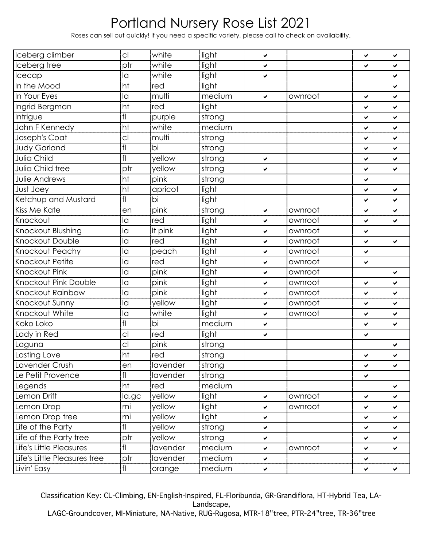Roses can sell out quickly! If you need a specific variety, please call to check on availability.

| Iceberg climber              | C <sub>1</sub> | white    | light  | ✔            |         | ✔ | ✔ |
|------------------------------|----------------|----------|--------|--------------|---------|---|---|
| Iceberg tree                 | ptr            | white    | light  | ✓            |         | ✔ | ✔ |
| Icecap                       | la             | white    | light  | ✔            |         |   | ✔ |
| In the Mood                  | ht             | red      | light  |              |         |   | ✔ |
| In Your Eyes                 | la             | multi    | medium | ✓            | ownroot | ✔ | ✔ |
| Ingrid Bergman               | ht             | red      | light  |              |         | ✔ | ✔ |
| <b>Intrigue</b>              | f              | purple   | strong |              |         | ✔ | ✔ |
| John F Kennedy               | ht             | white    | medium |              |         | ✔ | ✔ |
| Joseph's Coat                | C <sub>1</sub> | multi    | strong |              |         | ✔ | ✔ |
| <b>Judy Garland</b>          | f              | bi       | strong |              |         | ✔ | ✔ |
| Julia Child                  | f              | yellow   | strong | ✔            |         | ✔ | ✔ |
| Julia Child tree             | ptr            | yellow   | strong | ✓            |         | ✔ | ✔ |
| Julie Andrews                | ht             | pink     | strong |              |         | ✔ |   |
| Just Joey                    | ht             | apricot  | light  |              |         | ✔ | ✓ |
| Ketchup and Mustard          | f              | bi       | light  |              |         | ✔ | ✔ |
| <b>Kiss Me Kate</b>          | en             | pink     | strong | ✔            | ownroot | ✔ | ✔ |
| Knockout                     | la             | red      | light  | ✔            | ownroot | ✔ | ✔ |
| Knockout Blushing            | la             | It pink  | light  | ✓            | ownroot | ✔ |   |
| Knockout Double              | la             | red      | light  | ✓            | ownroot | ✔ | ✔ |
| Knockout Peachy              | la             | peach    | light  | ✓            | ownroot | ✔ |   |
| Knockout Petite              | la             | red      | light  | ✔            | ownroot | ✔ |   |
| Knockout Pink                | la             | pink     | light  | ✓            | ownroot |   | ✔ |
| <b>Knockout Pink Double</b>  | la             | pink     | light  | ✓            | ownroot | ✔ | ✔ |
| Knockout Rainbow             | la             | pink     | light  | ✓            | ownroot | ✔ | ✔ |
| Knockout Sunny               | la             | yellow   | light  | ✓            | ownroot | ✔ | ✔ |
| Knockout White               | la             | white    | light  | ✔            | ownroot | ✔ | ✔ |
| Koko Loko                    | f              | bi       | medium | ✔            |         | ✔ | ✔ |
| Lady in Red                  | cl             | red      | light  | ✓            |         | ✔ |   |
| Laguna                       | cl             | pink     | strong |              |         |   | ✔ |
| Lasting Love                 | ht             | red      | strong |              |         | ✔ | ✔ |
| Lavender Crush               | en             | lavender | strong |              |         | ✔ | ✔ |
| Le Petit Provence            | f              | lavender | strong |              |         | ✔ |   |
| Legends                      | ht             | red      | medium |              |         |   | ✔ |
| Lemon Drift                  | la,gc          | yellow   | light  | ✔            | ownroot | ✔ | ✔ |
| Lemon Drop                   | mi             | yellow   | light  | ✔            | ownroot | ✔ | ✔ |
| Lemon Drop tree              | mi             | yellow   | light  | $\checkmark$ |         | ✔ | ✓ |
| Life of the Party            | f              | yellow   | strong | ✔            |         | ✔ | ✔ |
| Life of the Party tree       | ptr            | yellow   | strong | $\checkmark$ |         | ✔ | ✓ |
| Life's Little Pleasures      | f              | lavender | medium | ✔            | ownroot | ✔ | ✔ |
| Life's Little Pleasures tree | ptr            | lavender | medium | $\checkmark$ |         | ✔ |   |
| Livin' Easy                  | f              | orange   | medium | ✔            |         | ✔ | ✓ |

Classification Key: CL-Climbing, EN-English-Inspired, FL-Floribunda, GR-Grandiflora, HT-Hybrid Tea, LA-Landscape,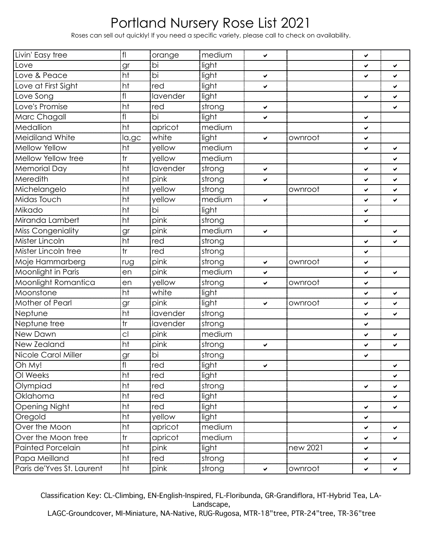Roses can sell out quickly! If you need a specific variety, please call to check on availability.

| Livin' Easy tree          | f               | orange          | medium | ✓            |          | ✔ |    |
|---------------------------|-----------------|-----------------|--------|--------------|----------|---|----|
| Love                      | gr              | bi              | light  |              |          | ✓ | Ñ. |
| Love & Peace              | ht              | $\overline{bi}$ | light  | $\checkmark$ |          | ✔ | ✔  |
| Love at First Sight       | ht              | red             | light  | ✓            |          |   | ✔  |
| Love Song                 | f               | lavender        | light  |              |          | ✔ | ✓  |
| Love's Promise            | ht              | red             | strong | $\checkmark$ |          |   | ✔  |
| Marc Chagall              | f               | bi              | light  | ✓            |          | ✓ |    |
| Medallion                 | ht              | apricot         | medium |              |          | ✔ |    |
| <b>Meidiland White</b>    | la,gc           | white           | light  | ✓            | ownroot  | ✔ |    |
| Mellow Yellow             | ht              | yellow          | medium |              |          | ✓ | ✓  |
| Mellow Yellow tree        | tr              | yellow          | medium |              |          |   | ✔  |
| <b>Memorial Day</b>       | ht              | lavender        | strong | $\checkmark$ |          | ✔ | ✔  |
| Meredith                  | ht              | pink            | strong | ✓            |          | ✔ | ✓  |
| Michelangelo              | ht              | yellow          | strong |              | ownroot  | ✓ | ✓  |
| Midas Touch               | ht              | yellow          | medium | $\checkmark$ |          | ✔ | ✔  |
| Mikado                    | ht              | bi              | light  |              |          | ✔ |    |
| Miranda Lambert           | ht              | pink            | strong |              |          | ✓ |    |
| <b>Miss Congeniality</b>  | gr              | pink            | medium | $\checkmark$ |          |   | ✓  |
| Mister Lincoln            | ht              | red             | strong |              |          | ✓ | ✔  |
| Mister Lincoln tree       | tr              | red             | strong |              |          | ✔ |    |
| Moje Hammarberg           | rug             | pink            | strong | ✓            | ownroot  | ✔ |    |
| Moonlight in Paris        | en              | pink            | medium | ✔            |          | ✓ | ✔  |
| Moonlight Romantica       | en              | yellow          | strong | ✔            | ownroot  | ✔ |    |
| Moonstone                 | ht              | white           | light  |              |          | ✓ | ✔  |
| Mother of Pearl           | gr              | pink            | light  | ✓            | ownroot  | ✔ | V  |
| Neptune                   | $\overline{ht}$ | lavender        | strong |              |          | ✓ | ✔  |
| Neptune tree              | tr              | lavender        | strong |              |          | ✔ |    |
| New Dawn                  | cl              | pink            | medium |              |          | ✔ | ✔  |
| New Zealand               | ht              | pink            | strong | ✓            |          | ✔ | ✔  |
| Nicole Carol Miller       | gr              | $\overline{bi}$ | strong |              |          | ✔ |    |
| Oh My!                    | f               | red             | light  | $\checkmark$ |          |   | Ñ. |
| OI Weeks                  | ht              | red             | light  |              |          |   | ✓  |
| Olympiad                  | ht              | red             | strong |              |          | ✓ | ✓  |
| Oklahoma                  | ht              | red             | light  |              |          |   | ✔  |
| <b>Opening Night</b>      | ht              | red             | light  |              |          | ✔ | ✓  |
| Oregold                   | ht              | yellow          | light  |              |          | ✔ |    |
| Over the Moon             | ht              | apricot         | medium |              |          | ✔ | ✓  |
| Over the Moon tree        | tr              | apricot         | medium |              |          | ✔ | ✓  |
| <b>Painted Porcelain</b>  | ht              | pink            | light  |              | new 2021 | ✔ |    |
| Papa Meilland             | ht              | red             | strong |              |          | ✔ | ✔  |
| Paris de'Yves St. Laurent | ht              | pink            | strong | $\checkmark$ | ownroot  | ✔ | ✔  |

Classification Key: CL-Climbing, EN-English-Inspired, FL-Floribunda, GR-Grandiflora, HT-Hybrid Tea, LA-Landscape,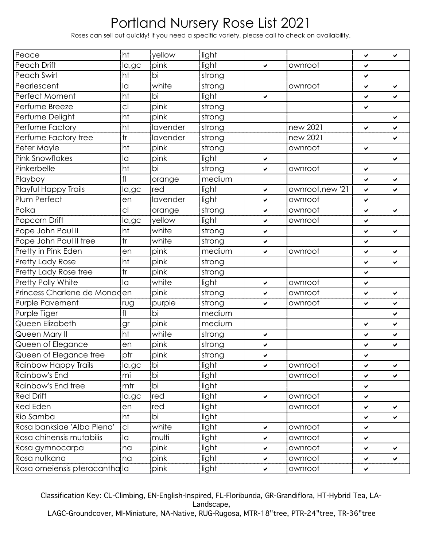Roses can sell out quickly! If you need a specific variety, please call to check on availability.

| Peace                         | ht             | yellow   | light  |              |                  | ✔ | ✔ |
|-------------------------------|----------------|----------|--------|--------------|------------------|---|---|
| Peach Drift                   | la,gc          | pink     | light  | ✔            | ownroot          | ✔ |   |
| Peach Swirl                   | ht             | bi       | strong |              |                  | ✔ |   |
| Pearlescent                   | la             | white    | strong |              | ownroot          | ✔ | ✔ |
| Perfect Moment                | ht             | bi       | light  | ✔            |                  | ✓ | ✔ |
| Perfume Breeze                | cl             | pink     | strong |              |                  | ✔ |   |
| Perfume Delight               | ht             | pink     | strong |              |                  |   | ✓ |
| Perfume Factory               | ht             | lavender | strong |              | new 2021         | ✔ | ✔ |
| Perfume Factory tree          | tr             | lavender | strong |              | new 2021         |   | ✔ |
| Peter Mayle                   | ht             | pink     | strong |              | ownroot          | ✔ |   |
| <b>Pink Snowflakes</b>        | la             | pink     | light  | ✔            |                  |   | ✓ |
| Pinkerbelle                   | ht             | bi       | strong | ✔            | ownroot          | ✔ |   |
| Playboy                       | fl             | orange   | medium |              |                  | ✔ | V |
| Playful Happy Trails          | la,gc          | red      | light  | ✔            | ownroot, new '21 | ✔ | ✔ |
| Plum Perfect                  | en             | lavender | light  | $\checkmark$ | ownroot          | ✔ |   |
| Polka                         | cl             | orange   | strong | $\checkmark$ | ownroot          | ✔ | ✓ |
| Popcorn Drift                 | la,gc          | yellow   | light  | ✔            | ownroot          | ✓ |   |
| Pope John Paul II             | ht             | white    | strong | ✔            |                  | ✔ | ✔ |
| Pope John Paul II tree        | tr             | white    | strong | ✔            |                  | ✓ |   |
| Pretty in Pink Eden           | en             | pink     | medium | ✔            | ownroot          | ✔ | ✔ |
| <b>Pretty Lady Rose</b>       | ht             | pink     | strong |              |                  | ✓ | ✔ |
| Pretty Lady Rose tree         | tr             | pink     | strong |              |                  | ✔ |   |
| Pretty Polly White            | la             | white    | light  | ✔            | ownroot          | ✓ |   |
| Princess Charlene de Monad    | len            | pink     | strong | $\checkmark$ | ownroot          | ✔ | ✔ |
| Purple Pavement               | rug            | purple   | strong | $\checkmark$ | ownroot          | ✔ | ✓ |
| Purple Tiger                  | fl             | bi       | medium |              |                  |   | ✔ |
| Queen Elizabeth               | gr             | pink     | medium |              |                  | ✔ | ✓ |
| Queen Mary II                 | ht             | white    | strong | ✔            |                  | ✔ | ✔ |
| Queen of Elegance             | en             | pink     | strong | $\checkmark$ |                  | ✔ | ✓ |
| Queen of Elegance tree        | ptr            | pink     | strong | ✔            |                  | ✔ |   |
| Rainbow Happy Trails          | la,gc          | bi       | light  | ✓            | ownroot          | ✔ | ✓ |
| Rainbow's End                 | mi             | bi       | light  |              | ownroot          | ✔ | ✓ |
| Rainbow's End tree            | mtr            | bi       | light  |              |                  | ✔ |   |
| <b>Red Drift</b>              | la,gc          | red      | light  | $\checkmark$ | ownroot          | ✔ |   |
| <b>Red Eden</b>               | en             | red      | light  |              | ownroot          | ✔ | ✔ |
| Rio Samba                     | ht             | bi       | light  |              |                  | ✔ | ✓ |
| Rosa banksiae 'Alba Plena'    | C <sub>1</sub> | white    | light  | ✔            | ownroot          | ✓ |   |
| Rosa chinensis mutabilis      | la             | multi    | light  | ✔            | ownroot          | ✔ |   |
| Rosa gymnocarpa               | na             | pink     | light  | $\checkmark$ | ownroot          | ✔ | ✔ |
| Rosa nutkana                  | na             | pink     | light  | ✔            | ownroot          | ✔ | ✓ |
| Rosa omeiensis pteracanthalla |                | pink     | light  | ✔            | ownroot          | ✔ |   |

Classification Key: CL-Climbing, EN-English-Inspired, FL-Floribunda, GR-Grandiflora, HT-Hybrid Tea, LA-Landscape, LAGC-Groundcover, MI-Miniature, NA-Native, RUG-Rugosa, MTR-18"tree, PTR-24"tree, TR-36"tree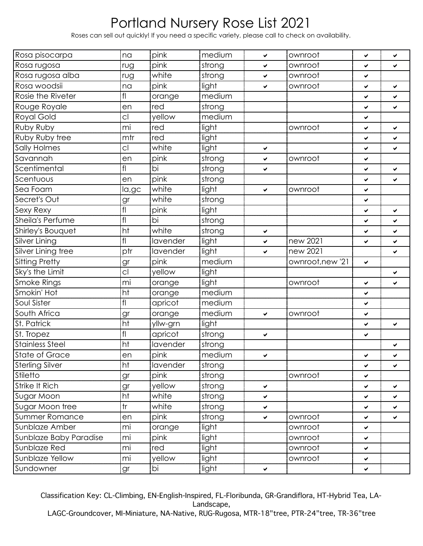Roses can sell out quickly! If you need a specific variety, please call to check on availability.

| Rosa pisocarpa         | na              | pink            | medium | ✔            | ownroot          | ✓            | ✓            |
|------------------------|-----------------|-----------------|--------|--------------|------------------|--------------|--------------|
| Rosa rugosa            | rug             | pink            | strong | $\checkmark$ | ownroot          | ✔            | V            |
| Rosa rugosa alba       | rug             | white           | strong | $\checkmark$ | ownroot          | ✔            |              |
| Rosa woodsii           | na              | pink            | light  | $\checkmark$ | ownroot          | ✔            | Ý.           |
| Rosie the Riveter      | f <sub>l</sub>  | orange          | medium |              |                  | ✔            | ✓            |
| Rouge Royale           | en              | red             | strong |              |                  | ✔            | ✓            |
| Royal Gold             | C <sub>1</sub>  | yellow          | medium |              |                  | ✔            |              |
| Ruby Ruby              | mi              | red             | light  |              | ownroot          | ✔            | Ý.           |
| Ruby Ruby tree         | mtr             | red             | light  |              |                  | ✔            | ✓            |
| Sally Holmes           | C <sub>1</sub>  | white           | light  | $\checkmark$ |                  | ✔            | ✔            |
| Savannah               | en              | pink            | strong | ✔            | ownroot          | ✔            |              |
| Scentimental           | f <sub>l</sub>  | bi              | strong | $\checkmark$ |                  | ✔            | ✓            |
| Scentuous              | en              | pink            | strong |              |                  | ✔            | ✓            |
| Sea Foam               | la,gc           | white           | light  | $\checkmark$ | ownroot          | ✔            |              |
| Secret's Out           | gr              | white           | strong |              |                  | ✔            |              |
| Sexy Rexy              | f               | pink            | light  |              |                  | ✔            | ✓            |
| Sheila's Perfume       | f               | $\overline{bi}$ | strong |              |                  | ✔            | ✓            |
| Shirley's Bouquet      | ht              | white           | strong | $\checkmark$ |                  | ✔            | $\checkmark$ |
| Silver Lining          | f <sub>l</sub>  | lavender        | light  | $\checkmark$ | new 2021         | ✔            | Ý.           |
| Silver Lining tree     | ptr             | lavender        | light  | $\checkmark$ | new 2021         |              | ✓            |
| <b>Sitting Pretty</b>  | gr              | pink            | medium |              | ownroot, new '21 | $\checkmark$ |              |
| Sky's the Limit        | $\overline{c}$  | yellow          | light  |              |                  |              | ✔            |
| <b>Smoke Rings</b>     | mi              | orange          | light  |              | ownroot          | ✔            | ✔            |
| Smokin' Hot            | ht              | orange          | medium |              |                  | ✔            |              |
| Soul Sister            | f               | apricot         | medium |              |                  | ✔            |              |
| South Africa           | gr              | orange          | medium | $\checkmark$ | ownroot          | ✓            |              |
| St. Patrick            | ht              | yllw-grn        | light  |              |                  | ✔            | V            |
| St. Tropez             | f               | apricot         | strong | $\checkmark$ |                  | ✔            |              |
| <b>Stainless Steel</b> | ht              | lavender        | strong |              |                  |              | ✔            |
| <b>State of Grace</b>  | en              | pink            | medium | ✔            |                  | ✓            | ✔            |
| Sterling Silver        | ht              | lavender        | strong |              |                  | ✓            | $\checkmark$ |
| Stiletto               | gr              | pink            | strong |              | ownroot          | ✓            |              |
| Strike It Rich         | gr              | yellow          | strong | $\checkmark$ |                  | ✔            | ✓            |
| Sugar Moon             | $\overline{ht}$ | white           | strong | $\checkmark$ |                  | ✔            | ✓            |
| Sugar Moon tree        | tr              | white           | strong | $\checkmark$ |                  | ✔            | ✔            |
| <b>Summer Romance</b>  | en              | pink            | strong | $\checkmark$ | ownroot          | ✔            | ✓            |
| Sunblaze Amber         | mi              | orange          | light  |              | ownroot          | ✔            |              |
| Sunblaze Baby Paradise | mi              | pink            | light  |              | ownroot          | ✓            |              |
| Sunblaze Red           | mi              | red             | light  |              | ownroot          | ✔            |              |
| Sunblaze Yellow        | mi              | yellow          | light  |              | ownroot          | ✓            |              |
| Sundowner              | gr              | bi              | light  | ✔            |                  | ✔            |              |

Classification Key: CL-Climbing, EN-English-Inspired, FL-Floribunda, GR-Grandiflora, HT-Hybrid Tea, LA-Landscape,